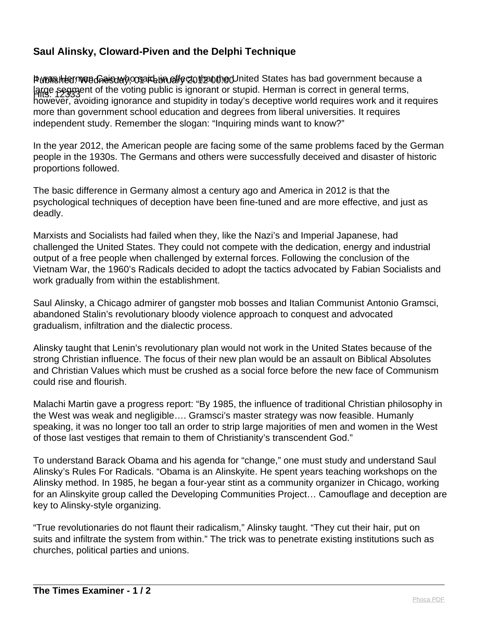## **Saul Alinsky, Cloward-Piven and the Delphi Technique**

Puranshierman Gheisurh conart bin effect that the United States has bad government because a Hits: 12333 large segment of the voting public is ignorant or stupid. Herman is correct in general terms, however, avoiding ignorance and stupidity in today's deceptive world requires work and it requires more than government school education and degrees from liberal universities. It requires independent study. Remember the slogan: "Inquiring minds want to know?"

In the year 2012, the American people are facing some of the same problems faced by the German people in the 1930s. The Germans and others were successfully deceived and disaster of historic proportions followed.

The basic difference in Germany almost a century ago and America in 2012 is that the psychological techniques of deception have been fine-tuned and are more effective, and just as deadly.

Marxists and Socialists had failed when they, like the Nazi's and Imperial Japanese, had challenged the United States. They could not compete with the dedication, energy and industrial output of a free people when challenged by external forces. Following the conclusion of the Vietnam War, the 1960's Radicals decided to adopt the tactics advocated by Fabian Socialists and work gradually from within the establishment.

Saul Alinsky, a Chicago admirer of gangster mob bosses and Italian Communist Antonio Gramsci, abandoned Stalin's revolutionary bloody violence approach to conquest and advocated gradualism, infiltration and the dialectic process.

Alinsky taught that Lenin's revolutionary plan would not work in the United States because of the strong Christian influence. The focus of their new plan would be an assault on Biblical Absolutes and Christian Values which must be crushed as a social force before the new face of Communism could rise and flourish.

Malachi Martin gave a progress report: "By 1985, the influence of traditional Christian philosophy in the West was weak and negligible…. Gramsci's master strategy was now feasible. Humanly speaking, it was no longer too tall an order to strip large majorities of men and women in the West of those last vestiges that remain to them of Christianity's transcendent God."

To understand Barack Obama and his agenda for "change," one must study and understand Saul Alinsky's Rules For Radicals. "Obama is an Alinskyite. He spent years teaching workshops on the Alinsky method. In 1985, he began a four-year stint as a community organizer in Chicago, working for an Alinskyite group called the Developing Communities Project… Camouflage and deception are key to Alinsky-style organizing.

"True revolutionaries do not flaunt their radicalism," Alinsky taught. "They cut their hair, put on suits and infiltrate the system from within." The trick was to penetrate existing institutions such as churches, political parties and unions.